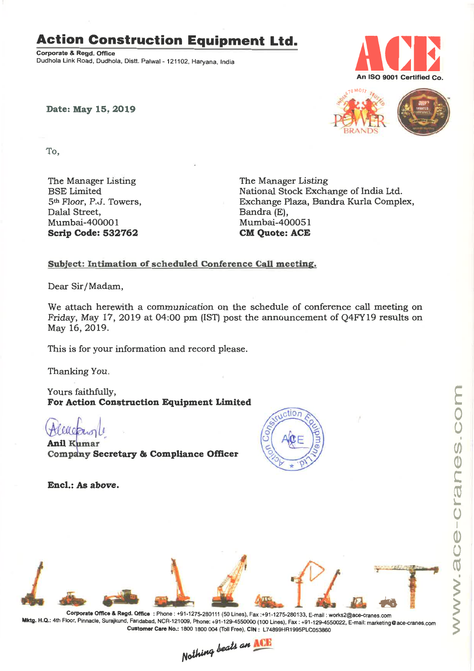### **Action Construction Equipment Ltd.**

Corporate & Regd. Office Dudhola Link Road, Dudhola, Distt. Palwal - 121102, Haryana, India



Date: May 15, 2019



o o

(/) Q) L,  $\overline{\mathbb{U}}$  . 1. o I Q) o  $\mathbb{U}$ 

S

 $\geq$ 

 $\geq$ 

To,

The Manager Listing BSE Limited 5th Floor, P.J, Towers, Dalal Street, Mumbai-400001 Scrip Code: 532762

The Manager Listing National Stock Exchange of India Ltd. Exchange Plaza, Bandra Kurla Complex, Bandra (E), Mumbai-400051 **CM Ouote: ACE** 

#### Subject: Intimation of scheduled Conference Call meeting.

Dear Sir/Madam,

We attach herewith a communication on the schedule of conference call meeting on Friday, May 17, 2019 at 04:00 pm (IST) post the announcement of Q4FY19 results on May 16,2019.

This is for your information and record please.

Thanking You.

Yours faithfully, For Action Construction Equipment Limited

VA 0

**Anil Kumar** Company Secretary & Compliance Officer







Mktg. H.Q.: 4th Floor, Pinnacle, Surajkund, Faridabad, NCR-121oo9, Phone: +91-129-4550000 (100 Lines), Fax: +91-129-4550022, E-mail: marketing@ace-cranes.com Customer Care No.: 1800 1800 004 (Toll Free), CrN: L74899HR1995PLC053860